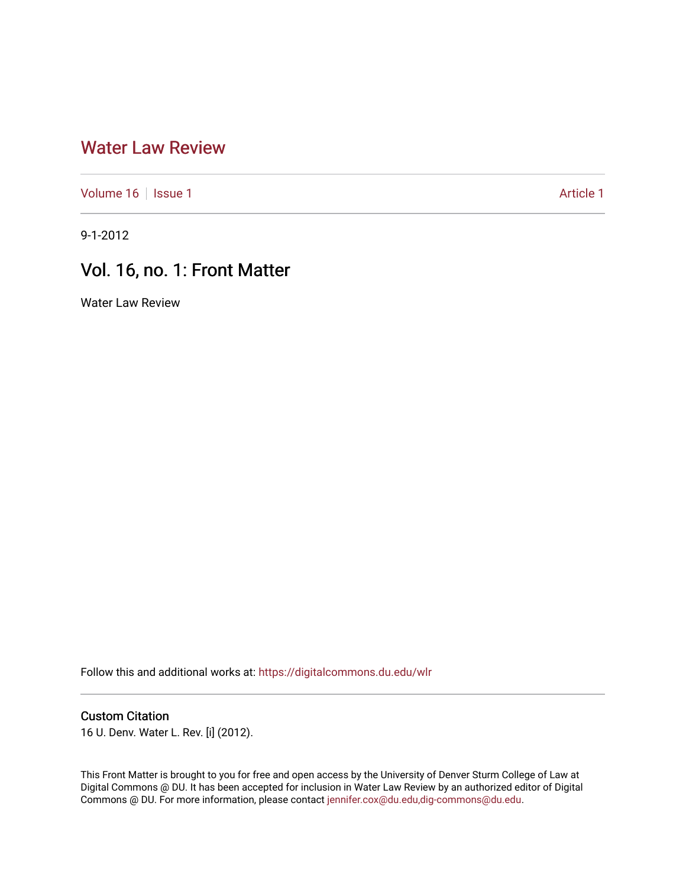## [Water Law Review](https://digitalcommons.du.edu/wlr)

[Volume 16](https://digitalcommons.du.edu/wlr/vol16) | [Issue 1](https://digitalcommons.du.edu/wlr/vol16/iss1) Article 1

9-1-2012

# Vol. 16, no. 1: Front Matter

Water Law Review

Follow this and additional works at: [https://digitalcommons.du.edu/wlr](https://digitalcommons.du.edu/wlr?utm_source=digitalcommons.du.edu%2Fwlr%2Fvol16%2Fiss1%2F1&utm_medium=PDF&utm_campaign=PDFCoverPages) 

#### Custom Citation

16 U. Denv. Water L. Rev. [i] (2012).

This Front Matter is brought to you for free and open access by the University of Denver Sturm College of Law at Digital Commons @ DU. It has been accepted for inclusion in Water Law Review by an authorized editor of Digital Commons @ DU. For more information, please contact [jennifer.cox@du.edu,dig-commons@du.edu.](mailto:jennifer.cox@du.edu,dig-commons@du.edu)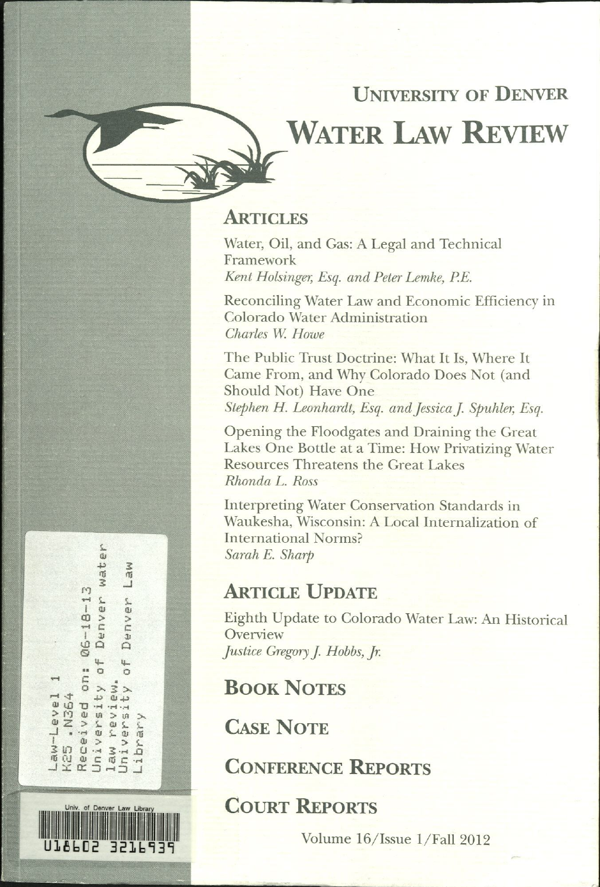# **UNIVERSITY OF DENVER WATER LAW REVIEW**

## **ARTICLES**

Water, Oil, and Gas: A Legal and Technical Framework Kent Holsinger, Esq. and Peter Lemke, P.E.

Reconciling Water Law and Economic Efficiency in Colorado Water Administration Charles W. Howe

The Public Trust Doctrine: What It Is, Where It Came From, and Why Colorado Does Not (and Should Not) Have One Stephen H. Leonhardt, Esq. and Jessica J. Spuhler, Esq.

Opening the Floodgates and Draining the Great Lakes One Bottle at a Time: How Privatizing Water **Resources Threatens the Great Lakes** Rhonda L. Ross

**Interpreting Water Conservation Standards in** Waukesha, Wisconsin: A Local Internalization of **International Norms?** Sarah E. Sharp

## **ARTICLE UPDATE**

Eighth Update to Colorado Water Law: An Historical Overview Justice Gregory J. Hobbs, Jr.

**BOOK NOTES** 

**CASE NOTE** 

**CONFERENCE REPORTS** 

**COURT REPORTS** 

Volume 16/Issue 1/Fall 2012

三田 Denver wat Law  $Q6 - 18 - 13$ Denver  $\frac{1}{2}$  $\overline{\mathfrak{L}}$ Received on:<br>University of  $\circ$ ew.  $\rightarrow$ K25 .N364 Jan-Tene mevie<br>ersit **ほどソ** Jniv law  $\frac{1}{2}$ 

**ALDZ** 

3216939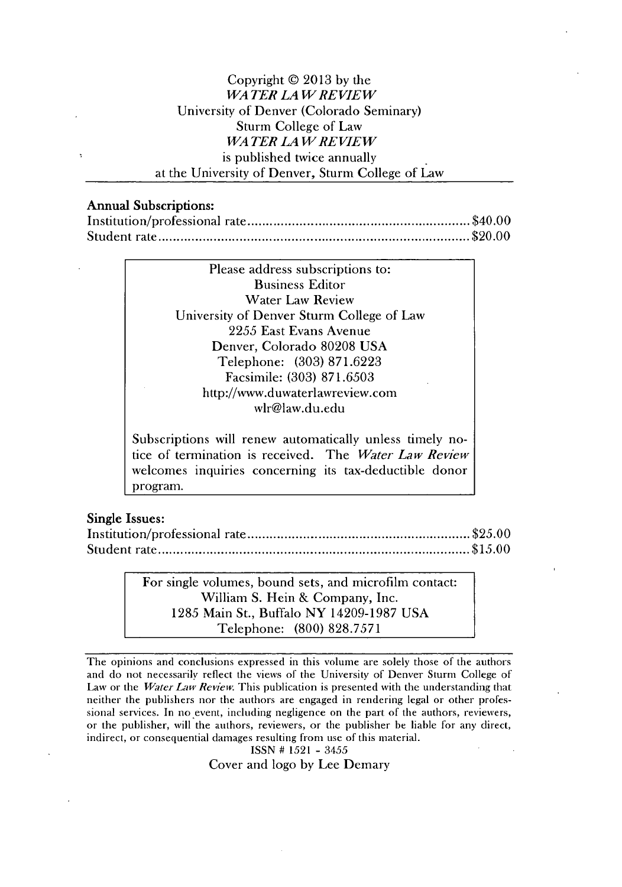#### Copyright @ **2013 by** the *WA TER LA W REVIEW* University of Denver (Colorado Seminary) Sturm College of Law *WA TER LA WRE VIEW* is published twice annually at the University of Denver, Sturm College of Law

#### Annual Subscriptions:

| THIRTING ANDALISATION |  |
|-----------------------|--|
|                       |  |
|                       |  |

| Please address subscriptions to:                         |
|----------------------------------------------------------|
| <b>Business Editor</b>                                   |
| <b>Water Law Review</b>                                  |
| University of Denver Sturm College of Law                |
| 2255 East Evans Avenue                                   |
| Denver, Colorado 80208 USA                               |
| Telephone: (303) 871.6223                                |
| Facsimile: (303) 871.6503                                |
| http://www.duwaterlawreview.com                          |
| wlr@law.du.edu                                           |
|                                                          |
| Subscriptions will renew automatically unless timely no- |
|                                                          |

tice of termination is received. The *Water Law Review* welcomes inquiries concerning its tax-deductible donor program.

#### Single Issues:

For single volumes, bound sets, and microfilm contact: William **S.** Hein **&** Company, Inc. **1285** Main St., Buffalo NY **14209-1987 USA** Telephone: **(800) 828.7571**

The opinions and conclusions expressed in this volume are solely those of the authors and do not necessarily reflect the views of the University of Denver Sturm College of Law or the *Water Law Review* This publication is presented with the understanding that neither the publishers nor the authors are engaged in rendering legal or other professional services. In no event, including negligence on the part of the authors, reviewers, or the publisher, will the authors, reviewers, or the publisher be liable for any direct, indirect, or consequential damages resulting from use of this material.

```
ISSN # 1521 - 3455
```
Cover and logo **by** Lee Demary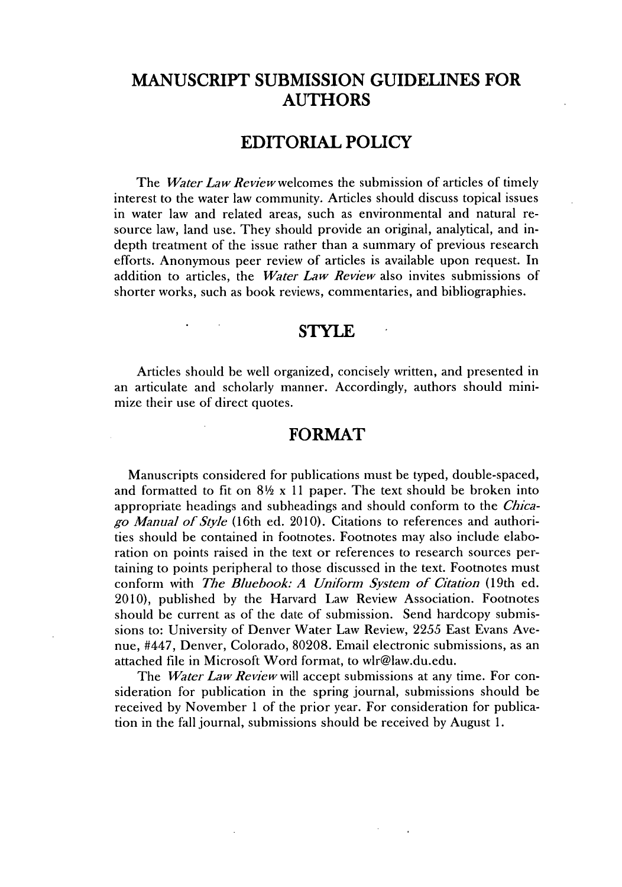## **MANUSCRIPT SUBMISSION GUIDELINES FOR AUTHORS**

#### **EDITORIAL POLICY**

The *Water Law Review welcomes* the submission of articles of timely interest to the water law community. Articles should discuss topical issues in water law and related areas, such as environmental and natural resource law, land use. They should provide an original, analytical, and indepth treatment of the issue rather than a summary of previous research efforts. Anonymous peer review of articles is available upon request. In addition to articles, the *Water Law Review* also invites submissions of shorter works, such as book reviews, commentaries, and bibliographies.

#### **STYLE -**

Articles should be well organized, concisely written, and presented in an articulate and scholarly manner. Accordingly, authors should minimize their use of direct quotes.

#### **FORMAT**

Manuscripts considered for publications must be typed, double-spaced, and formatted to fit on  $8\frac{1}{2}$  x 11 paper. The text should be broken into appropriate headings and subheadings and should conform to the *Chicago Manual of Style* (16th ed. **2010).** Citations to references and authorities should be contained in footnotes. Footnotes may also include elaboration on points raised in the text or references to research sources pertaming to points peripheral to those discussed in the text. Footnotes must **conform** with *The Bluebook: A Uniform System of Citation* **(19th** ed. 2010), published **by** the Harvard Law Review Association. Footnotes should **be** current as of the date of submission. Send hardcopy submissions to: University of Denver Water Law Review, **2255** East Evans Avenue, #447, Denver, Colorado, **80208.** Email electronic submissions, as an attached **file** in Microsoft Word format, to wlr@law.du.edu.

The *Water Law Review* will accept submissions at any time. For consideration for publication in the spring journal, submissions should be received **by** November 1 of the prior year. For consideration for publication in the fall journal, submissions should be received **by** August **1.**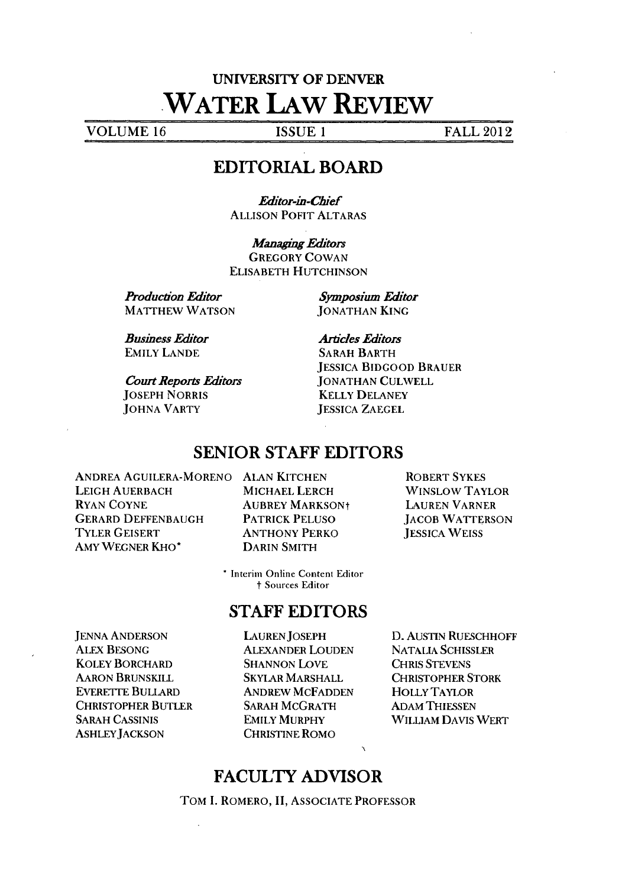# **UNIVERSITY** OF DENVER **WATER LAW REVIEW**

**VOLUME 16 ISSUE 1 ISSUE 1 FALL 2012** 

## EDITORIAL BOARD

*Eitor-in-Chief* **ALLISON** POFIT ALTARAS

**Managing Editors** GREGORY **COWAN** ELISABETH **HUTCHINSON**

*Production Edtor* MATTHEW **WATSON** *Symposium Editor* **JONATHAN KING**

*Business Edtor* EMILY **LANDE**

*Court Reports Editors* **JOSEPH** NORRIS **JOHNA** VARTY

*Ardcles Editors* SARAH BARTH JESSICA BIDGOOD BRAUER **JONATHAN CULWELL** KELLY **DELANEY JESSICA ZAEGEL**

#### SENIOR **STAFF** EDITORS

**ANDREA AGUILERA-MORENO ALAN KITCHEN LEIGH AUERBACH** RYAN **COYNE** GERARD **DEFFENBAUGH** TYLER GEISERT AMY WEGNER KHO\*

**MICHAEL** LERCH **AUBREY MARKSONt** PATRICK **PELUSO ANTHONY** PERKO DARIN SMITH

ROBERT SYKES WINSLOW TAYLOR **LAUREN** VARNER **JACOB** WATTERSON **JESSICA** WEISS

\* Interim Online Content Editor t Sources Editor

## **STAFF** EDITORS

**JENNA ANDERSON ALEX BESONG** KOLEY BORCHARD **AARON** BRUNSKILL EVERETTE BULLARD CHRISTOPHER BUTLER SARAH **CASSINIS ASHLEYJACKSON**

**LAUREN JOSEPH** ALEXANDER LOUDEN **SHANNON LOVE** SKYLAR MARSHALL **ANDREW** MCFADDEN SARAH McGRATH EMILY MURPHY CHRISTINE RoMo

**D.** AUSTIN RUESCHHOFF NATALIA **SCHISSLER** CHRIS **STEVENS** CHRISTOPHER STORK HOLLY TAYLOR ADAM **THIESSEN** WILUAM **DAVIS** WERT

### **FACULTY** ADVISOR

TOM **I.** ROMERO, **II,** ASSOCIATE PROFESSOR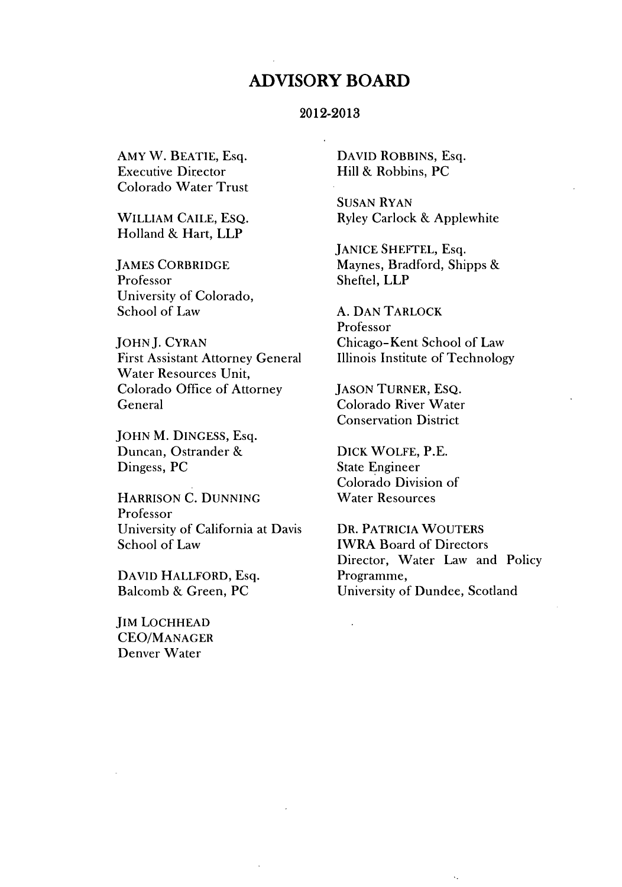#### **ADVISORY BOARD**

#### **2012-2013**

AMY W. **BEATIE,** Esq. Executive Director Colorado Water Trust

WILLIAM **CAILE, EsQ.** Holland **& Hart, LLP**

**JAMES** CORBRIDGE Professor University of Colorado, School of Law

**JOHN J.** CYRAN First Assistant Attorney General Water Resources Unit, Colorado Office of Attorney General

**JOHN** M. **DINGESS,** Esq. Duncan, Ostrander **&** Dingess, **PC**

HARRISON **C. DUNNING** Professor University of California at Davis School of Law

**DAVID** HALLFORD, Esq. Balcomb **&** Green, **PC**

**JIM LOCHHEAD CEO/MANAGER** Denver Water

DAVID ROBBINS, Esq. Hill **&** Robbins, **PC**

**SUSAN** RYAN Ryley Carlock **&** Applewhite

**JANICE** SHEFTEL, Esq. Maynes, Bradford, Shipps **&** Sheftel, LLP

**A. DAN** TARLOCK Professor Chicago-Kent School of Law Illinois Institute of Technology

**JASON** TURNER, ESQ. Colorado River Water Conservation District

DICK WOLFE, P.E. State Engineer Colorado Division of Water Resources

DR. PATRICIA WOUTERS IWRA Board of Directors Director, Water Law and Policy Programme, University of Dundee, Scotland

 $\bar{\mathcal{A}}_k$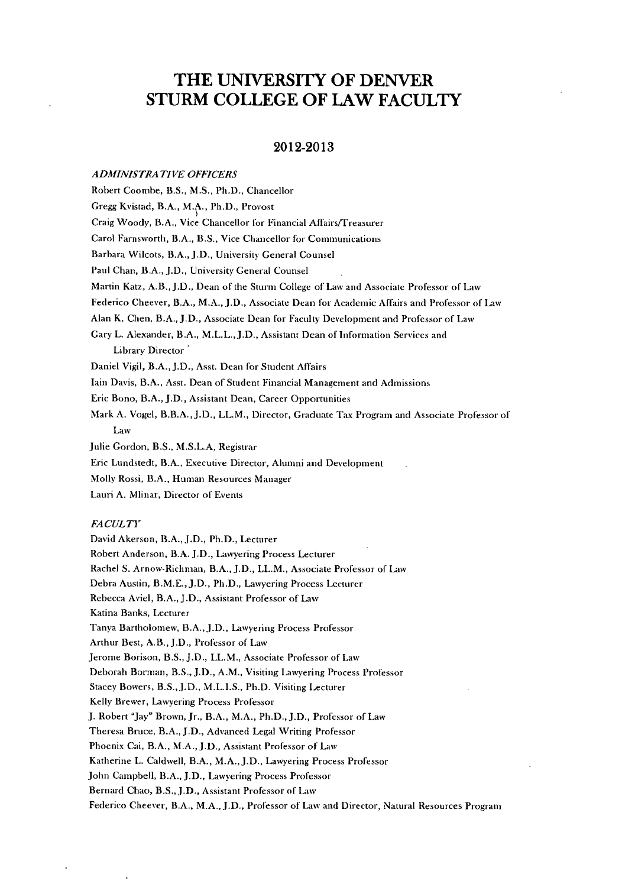## THE **UNIVERSITY** OF DENVER STURM **COLLEGE** OF LAW **FACULTY**

#### **2012-2013**

#### *ADMINISTRATIVE OFFICERS*

Robert Coombe, B.S., **M.S.,** Ph.D., Chancellor Gregg Kvistad, B.A., M.A., Ph.D., Provost Craig Woody, B.A., Vice Chancellor for Financial Affairs/Treasurer Carol Farnsworth, B.A., B.S., Vice Chancellor for Communications Barbara Wilcots, B.A., J.D., University General Counsel Paul Chan, B.A., **J.D.,** University General Counsel Martin Katz, A.B., J.D., Dean of the Sturm College of Law and Associate Professor of Law Federico Cheever, B.A., M.A., **J.D.,** Associate Dean for Academic Affairs and Professor of Law Alan K. Chen, B.A., **J.D.,** Associate Dean for Faculty Development and Professor of Law Gary L. Alexander, B.A., M.L.L.,J.D., Assistant Dean of Information Services and Library Director Daniel Vigil, B.A., **J.D.,** Asst. Dean for Student Affairs fain Davis, B.A., Asst. Dean of Student Financial Management and Admissions Eric Bono, B.A., **J.D.,** Assistant Dean, Career Opportunities Mark **A.** Vogel, B.B.A., **J.D.,** LL.M., Director, Graduate Tax Program and Associate Professor of Law Julie Gordon, B.S., **M.S.L.A,** Registrar Eric Lundstedt, B.A., Executive Director, Alumni and Development Molly Rossi, B.A., Human Resources Manager Lauri **A.** Mlinar, Director of Events *FA CUL TY* David Akerson, B.A., **J.D.,** Ph.D., Lecturer Robert Anderson, B.A. **J.D.,** Lawyering Process Lecturer Rachel **S.** Arnow-Richman, B.A., J.D., LL.M., Associate Professor **of** Law Debra Austin, B.M.E., J.D., Ph.D., Lawyering Process Lecturer Rebecca Aviel, B.A., **J.D.,** Assistant Professor of Law Katina Banks, Lecturer Tanya Bartholomew, B.A., J.D., Lawyering Process Professor Arthur Best, A.B., **J.D.,** Professor of Law Jerome Borison, B.S., **J.D.,** LL.M., Associate Professor of Law Deborah Borman, B.S., **J.D.,** A.M., Visiting Lawyering Process Professor

Stacey Bowers, **B.S., J.D.,** M.L.I.S., Ph.D. Visiting Lecturer

Kelly Brewer, Lawyering Process Professor

**J.** Robert "Jay" Brown, Jr., B.A., M.A., Ph.D., **J.D.,** Professor of Law

Theresa Bruce, B.A., J.D., Advanced Legal Writing Professor

Phoenix Cai, B.A., M.A., **J.D.,** Assistant Professor of Law

Katherine L. Caldwell, B.A., M.A., J.D., Lawyering Process Professor

John Campbell, B.A., **J.D.,** Lawyering Process Professor

Bernard Chao, B.S., **J.D.,** Assistant Professor of Law

Federico Cheever, B.A., M.A., **J.D.,** Professor of Law and Director, Natural Resources Program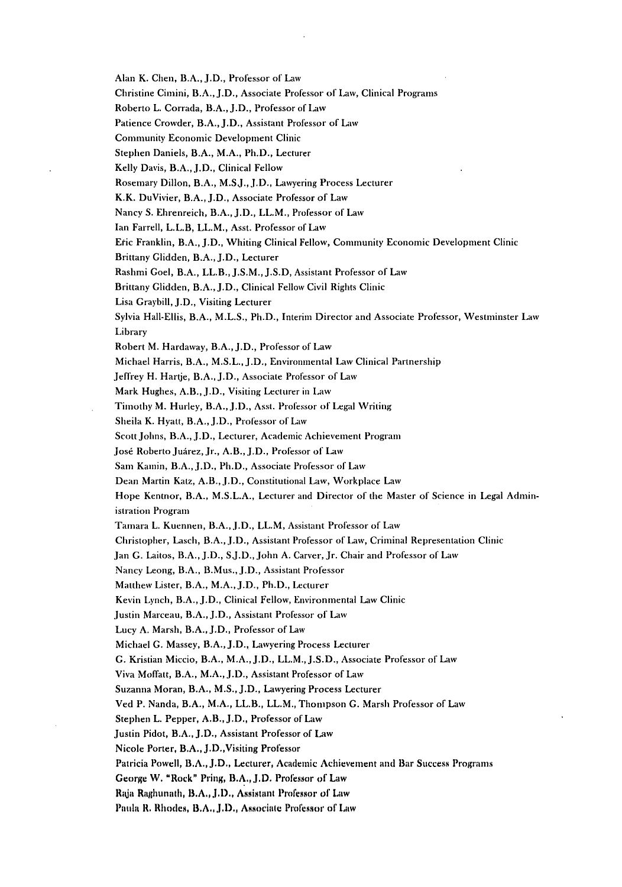Alan K. Chen, B.A., **J.D.,** Professor of Law

Christine Cimini, B.A., **J.D.,** Associate Professor of Law, Clinical Programs

Roberto L. Corrada, B.A., **J.D.,** Professor of Law

Patience Crowder, B.A., **J.D.,** Assistant Professor of Law

Community Economic Development Clinic

Stephen Daniels, B.A., M.A., **Ph.D.,** Lecturer

Kelly Davis, B.A., J.D., Clinical Fellow

Rosemary Dillon, B.A., **M.SJ.,J.D.,** Lawyering Process Lecturer

K.K. DuVivier, B.A., **J.D.,** Associate Professor of Law

Nancy **S.** Ehrenreich, B.A., **J.D.,** LL.M., Professor of Law

lan Farrell, L.L.B, LL.M., Asst. Professor of Law

Etic Franklin, B.A., **J.D.,** Whiting Clinical Fellow, Community Economic Development Clinic

Brittany Glidden, B.A., **J.D.,** Lecturer

Rashmi Goel, B.A., LL.B., **J.S.M., J.S.D,** Assistant Professor of Law

Brittany Glidden, B.A., **J.D.,** Clinical Fellow Civil Rights Clinic

Lisa Graybill, **J.D.,** Visiting Lecturer

Sylvia Hall-Ellis, B.A., **M.L.S.,** Ph.D., Interim Director and Associate Professor, Westminster Law Library

Robert M. Hardaway, B.A., **J.D.,** Professor of Law

Michael Harris, B.A., **M.S.L., J.D.,** Environmental Law Clinical Partnership

Jeffrey H. Hartje, B.A., **J.D.,** Associate Professor of Law

Mark Hughes, A.B., **J.D.,** Visiting Lecturer in Law

Timothy M. Hurley, B.A.,J.D., Asst. Professor of Legal Writing

Sheila K. Hyatt, B.A., **J.D.,** Professor of Law

Scott **Johns,** B.A., **J.D.,** Lecturer, Academic Achievement Program

Jos6 Roberto Juirez, Jr., A.B., **J.D.,** Professor of Law

Sam Kamin, B.A., **J.D.,** Ph.D., Associate Professor of Law

Dean Martin Katz, A.B., J.D., Constitutional Law, Workplace Law

Hope Kentnor, B.A., **M.S.L.A.,** Lecturer and Director of the Master of Science in Legal Administration Program

Tamara L. Kuennen, B.A., **J.D.,** LL.M, Assistant Professor of Law

Christopher, Lasch, B.A., **J.D.,** Assistant Professor of Law, Criminal Representation Clinic

Jan **G.** Laitos, B.A., **J.D., SJ.D.,** John **A.** Carver, Jr. Chair and Professor of Law

Nancy Leong, B.A., B.Mus., J.D., Assistant Professor

Matthew Lister, B.A., M.A., J.D., Ph.D., Lecturer

Kevin Lynch, B.A., J.D., Clinical Fellow, Environmental Law Clinic

Justin Marceau, B.A., **J.D.,** Assistant Professor of Law

Lucy **A.** Marsh, B.A., **J.D.,** Professor of Law

Michael **G.** Massey, B.A., **J.D.,** Lawyering Process Lecturer

**G.** Kristian Miccio, B.A., M.A., **J.D.,** LL.M., **J.S.D.,** Associate Professor of Law

Viva Moffatt, B.A., M.A., J.D., Assistant Professor of Law

Suzanna Moran, B.A., **M.S., J.D.,** Lawyering Process Lecturer

Ved **P.** Nanda, B.A., M.A., LL.B., LL.M., Thompson **C.** Marsh Professor of Law

Stephen L. Pepper, A.B., J.D., Professor of Law

Justin Pidot, B.A., **J.D.,** Assistant Professor of Law

Nicole Porter, B.A., J.D.,Visiting Professor

Patricia Powell, **B.A., J.D.,** Lecturer, Academic Achievement and Bar Success Programs

George W. "Rock" Pring, B.A., J.D. Professor of Law

Raja Raghunath, **B.A., J.D.,** Assistant Professor of Law

Patin **R.** Rhodes, **B.A., J.D.,** Associate Professor of Law